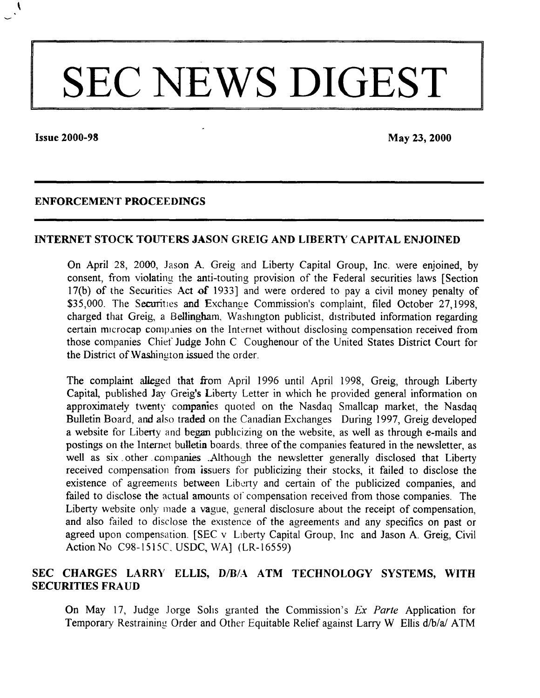# SEC NEWS DIGEST

**Issue 2000-98** May 23, 2000

 $\ddot{\phantom{0}}$ 

#### ENFORCEMENT PROCEEDINGS

#### INTERNET STOCK TOUTERS JASON GREIG AND LIBERTY CAPITAL ENJOINED

On April 28, 2000, Jason A. Greig and Liberty Capital Group, Inc. were enjoined, by consent, from violating the anti-touting provision of the Federal securities laws [Section 17(b) of the Securities Act of 1933] and were ordered to pay a civil money penalty of \$35,000. The Securities and Exchange Commission's complaint, filed October 27,1998, charged that Greig, a Bellingham, Washington publicist, distributed information regarding certain microcap companies on the Internet without disclosing compensation received from those companies Chief Judge John C Coughenour of the United States District Court for the District of Washington issued the order.

The complaint alleged that from April 1996 until April 1998, Greig, through Liberty Capital, published Jay Greig's Liberty Letter in which he provided general information on approximately twenty companies quoted on the Nasdaq Smallcap market, the Nasdaq Bulletin Board, and also traded on the Canadian Exchanges During 1997, Greig developed a website for Liberty and began publicizing on the website, as well as through e-mails and postings on the Internet bulletin boards, three of the companies featured in the newsletter, as well as six other companies .Although the newsletter generally disclosed that Liberty received compensation from issuers for publicizing their stocks, it failed to disclose the existence of agreements between Liberty and certain of the publicized companies, and failed to disclose the actual amounts of compensation received from those companies. The Liberty website only made a vague, general disclosure about the receipt of compensation, and also failed to disclose the existence of the agreements and any specifics on past or agreed upon compensation. [SEC v LIberty Capital Group, Inc and Jason A. Greig, Civil ActionNo C98-1515C. USDC, WA] (LR-16559)

# SEC CHARGES LARRY ELLIS, D/B/A ATM TECHNOLOGY SYSTEMS, WITH SECU RITIES FR AUD

On May 17, Judge Jorge Solis granted the Commission's *Ex Parte* Application for Temporary Restraining Order and Other Equitable Relief against Larry W Ellis d/b/a/ ATM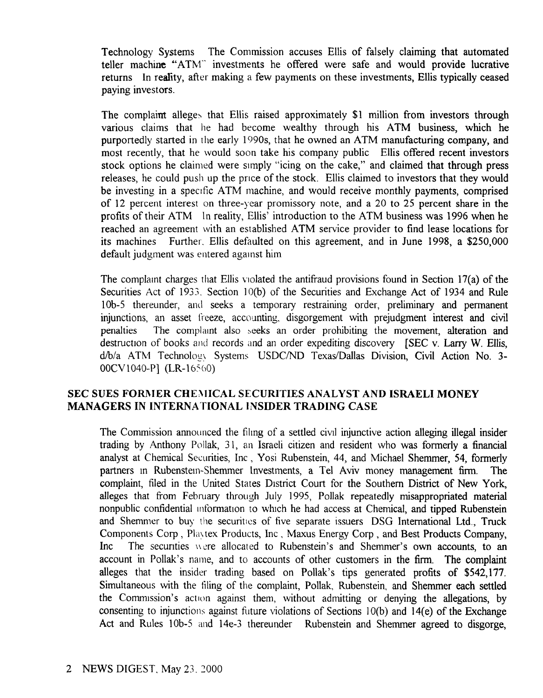Technology Systems The Commission accuses Ellis of falsely claiming that automated teller machine "ATM" investments he offered were safe and would provide lucrative returns In reality, after making a few payments on these investments, Ellis typically ceased paying investors.

The complaint alleges that Ellis raised approximately \$1 million from investors through various claims that he had become wealthy through his ATM business, which he purportedly started in the early 1990s, that he owned an ATM manufacturing company, and most recently, that he would soon take his company public Ellis offered recent investors stock options he claimed were simply "icing on the cake," and claimed that through press releases, he could push up the pnce of the stock. Ellis claimed to investors that they would be investing in a specific ATM machine, and would receive monthly payments, comprised of 12 percent interest on three-year promissory note, and a 20 to 25 percent share in the profits of their ATM In reality, Ellis' introduction to the ATM business was 1996 when he reached an agreement with an established ATM service provider to find lease locations for its machines Further. Ellis defaulted on this agreement, and in June 1998, a \$250,000 default judgment was entered against him

The complaint charges that Ellis Violated the antifraud provisions found in Section 17(a) of the Securities Act of 1933. Section  $10(b)$  of the Securities and Exchange Act of 1934 and Rule 10b-5 thereunder, and seeks a temporary restraining order, preliminary and permanent injunctions, an asset freeze, accounting, disgorgement with prejudgment interest and civil penalties The complamt also seeks an order prohibiting the movement, alteration and destruction of books and records and an order expediting discovery [SEC v. Larry W. Ellis, d/b/a ATM Technologx Systems USDCIND Texas/Dallas Division, Civil Action No. 3- 00CV1040-P] (LR-16560)

# SEC SUES FORMER CHEMICAL SECURITIES ANALYST AND ISRAELI MONEY MANAGERS IN INTERNATIONAL INSIDER TRADING CASE

The Commission announced the filmg of a settled civil injunctive action alleging illegal insider trading by Anthony Pollak, 31, an Israeli citizen and resident who was formerly a financial analyst at Chemical Securities, Inc, Yosi Rubenstein, 44, and Michael Shemmer, 54, formerly partners in Rubenstein-Shemmer Investments, a Tel Aviv money management firm. The complaint, filed in the United States District Court for the Southern District of New York, alleges that from February through July 1995, Pollak repeatedly misappropriated material nonpublic confidential mformation to which he had access at Chemical, and tipped Rubenstein and Shemmer to buy the securities of five separate issuers DSG International Ltd., Truck Components Corp, PIa\ tex Products, Inc, Maxus Energy Corp, and Best Products Company, Inc The securities were allocated to Rubenstein's and Shemmer's own accounts, to an account in Pollak's name, and to accounts of other customers in the firm. The complaint alleges that the insider trading based on Pollak's tips generated profits of \$542,177. Simultaneous with the tiling of the complaint, Pollak, Rubenstein, and Shemmer each settled the Commission's action against them, without admitting or denying the allegations, by consenting to injunctions against future violations of Sections 1O(b) and 14(e) of the Exchange Act and Rules lOb-5 and 14e-3 thereunder Rubenstein and Shemmer agreed to disgorge,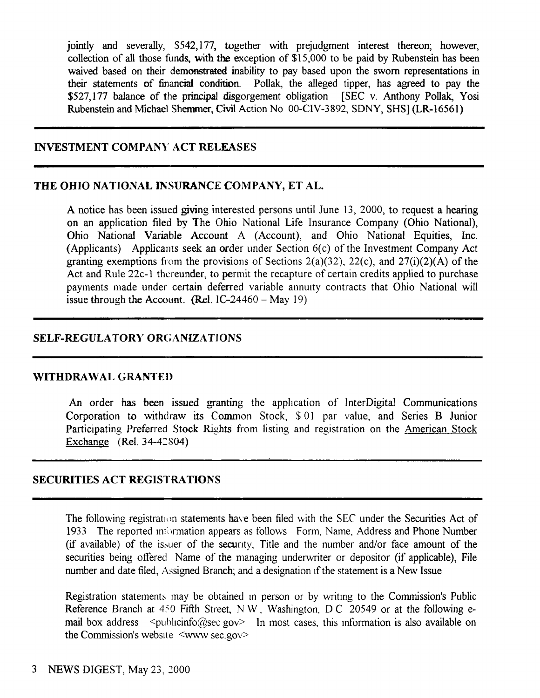jointly and severally, \$542,177, together with prejudgment interest thereon; however, collection of all those funds, with the exception of \$15,000 to be paid by Rubenstein has been waived based on their demonstrated inability to pay based upon the sworn representations in their statements of financial condition. Pollak, the alleged tipper, has agreed to pay the \$527,177 balance of the principal disgorgement obligation [SEC v. Anthony Pollak, Yosi Rubenstein and Michael Shemmer, Civil Action No 00-CIV-3892, SONY, SHS] (LR-16561)

## INVESTMENT COMPANY ACT RELEASES

## THE OHIO NATIONAL INSURANCE COMPANY, ET AL.

A notice has been issued giving interested persons until June 13, 2000, to request a hearing on an application filed by The Ohio National Life Insurance Company (Ohio National), Ohio National Variable Account A (Account), and Ohio National Equities, Inc. (Applicants) Applicants seek an order under Section 6(c) of the Investment Company Act granting exemptions from the provisions of Sections  $2(a)(32)$ ,  $22(c)$ , and  $27(i)(2)(A)$  of the Act and Rule 22c-1 thereunder, to permit the recapture of certain credits applied to purchase payments made under certain deferred variable annuity contracts that Ohio National will issue through the Account. (Rel.  $IC-24460 - \text{May } 19$ )

## SELF-REGULATORY ORGANIZATJONS

#### WITHDRAWAL GRANTED

An order has been issued granting the application of InterDigital Communications Corporation to withdraw its Common Stock, \$ 01 par value, and Series B Junior Participating Preferred Stock Rights from listing and registration on the American Stock Exchange (Rel. 34-42804)

# SECURITIES ACT REGISTRATIONS

The following registration statements have been filed with the SEC under the Securities Act of 1933 The reported information appears as follows Form, Name, Address and Phone Number (if available) of the issuer of the secunty, Title and the number and/or face amount of the securities being offered Name of the managing underwriter or depositor (if applicable), File number and date filed, Assigned Branch; and a designation if the statement is a New Issue

Registration statements may be obtained m person or by writmg to the Commission's Public Reference Branch at  $450$  Fifth Street, N W, Washington, D C 20549 or at the following email box address  $\leq$ publicinfo@sec gov> In most cases, this information is also available on the Commission's website <www sec.gov>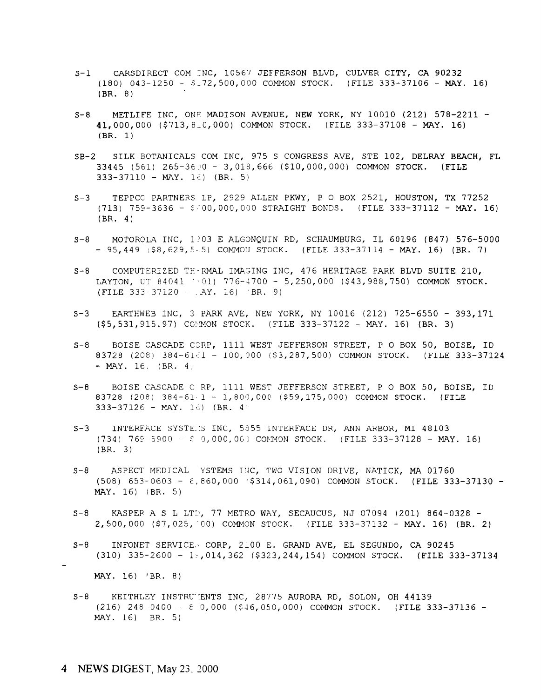- CARSDIRECT COM INC, 10567 JEFFERSON BLVD, CULVER CITY, CA 90232  $S-1$  $(180)$  043-1250 -  $\frac{6}{4}$ 72,500,000 COMMON STOCK. (FILE 333-37106 - MAY. 16)  $(BR. 8)$
- METLIFE INC. ONE MADISON AVENUE. NEW YORK, NY 10010 (212) 578-2211 - $S - 8$ 41,000,000  $(5713, 810,000)$  COMMON STOCK. (FILE 333-37108 - MAY. 16)  $(BR, 1)$
- SB-2 SILK BOTANICALS COM INC, 975 S CONGRESS AVE, STE 102, DELRAY BEACH, FL 33445 (561) 265-36:0 - 3,018,666 (\$10,000,000) COMMON STOCK. (FILE 333-37110 - MAY. 1 $\epsilon$ ) (BR. 5)
- $S-3$ TEPPCC PARTNERS LP, 2929 ALLEN PKWY, P O BOX 2521, HOUSTON, TX 77252 (713) 759-3636 - \$ 00,000,000 STRAIGHT BONDS. (FILE 333-37112 - MAY. 16)  $(BR. 4)$
- MOTOROLA INC, 1303 E ALGONQUIN RD, SCHAUMBURG, IL 60196 (847) 576-5000  $S - R$  $-95,449$  (\$8,629,5.5) COMMON STOCK. (FILE 333-37114 - MAY. 16) (BR. 7)
- COMPUTERIZED THERMAL IMAGING INC, 476 HERITAGE PARK BLVD SUITE 210,  $S - 8$ LAYTON, UT 84041 '-01) 776-4700 - 5,250,000 (\$43,988,750) COMMON STOCK. (FILE 333-37120 -  $AY. 16$ ) 'BR. 9)
- EARTHWEB INC, 3 PARK AVE, NEW YORK, NY 10016 (212) 725-6550 393,171  $S-3$ (\$5,531,915.97) COMON STOCK. (FILE 333-37122 - MAY. 16) (BR. 3)
- $S R$ BOISE CASCADE CORP, 1111 WEST JEFFERSON STREET, P O BOX 50, BOISE, ID 83728 (208) 384-61 - 100,000 (\$3,287,500) COMMON STOCK. (FILE 333-37124  $-MAY. 16. (BR. 4)$
- BOISE CASCADE C RP, 1111 WEST JEFFERSON STREET, P O BOX 50, BOISE, ID  $S-8$ 83728 (208) 384-61 - 1,800,000 (\$59,175,000) COMMON STOCK. (FILE  $333-37126$  - MAY. 16) (BR. 4)
- INTERFACE SYSTE. S INC, 5855 INTERFACE DR, ANN ARBOR, MI 48103  $S-3$  $(734)$  769-5900 -  $\zeta$  0,000,000 COMMON STOCK. (FILE 333-37128 - MAY. 16)  $(BR. 3)$
- $S 8$ ASPECT MEDICAL YSTEMS INC, TWO VISION DRIVE, NATICK, MA 01760  $(508)$  653-0603 -  $\epsilon$ , 860,000 (\$314,061,090) COMMON STOCK. (FILE 333-37130 -MAY. 16) (BR. 5)
- KASPER A S L LTD, 77 METRO WAY, SECAUCUS, NJ 07094 (201) 864-0328 - $S - 8$ 2,500,000 (\$7,025, 00) COMMON STOCK. (FILE 333-37132 - MAY. 16) (BR. 2)
- INFONET SERVICE. CORP, 2100 E. GRAND AVE, EL SEGUNDO, CA 90245  $S - 8$  $(310)$  335-2600 - 1, 014, 362 (\$323, 244, 154) COMMON STOCK. (FILE 333-37134

MAY. 16) (BR. 8)

KEITHLEY INSTRUMENTS INC, 28775 AURORA RD, SOLON, OH 44139  $S - 8$  $(216)$  248-0400 -  $\varepsilon$  0,000 (\$46,050,000) COMMON STOCK. (FILE 333-37136 -MAY. 16) BR. 5)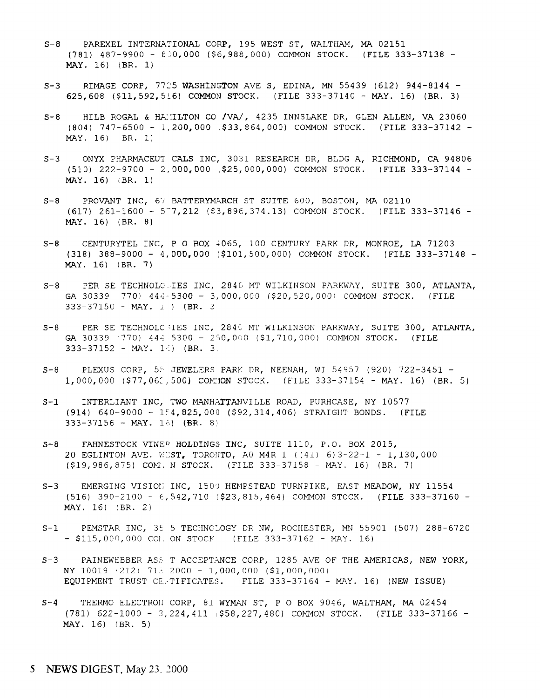- S-8 PAREXEL INTERNATIONAL CORP, 195 WEST ST, WALTHAM, MA 0215 (781) 487-9900 - 8)0,000 (\$6,988,000) COMMON STOCK. (FILE 333-37138 - MAY. 16) (BR. 1)
- S-3 RIMAGE CORP, 7725 WASHINGTON AVE S, EDINA, MN 55439 (612) 944-8144 -625,608 (\$11,592,516) COMMON STOCK. (FILE 333-37140 - MAY. 16) (BR. 3
- S-8 HILB ROGAL & HAMILTON CO /VA/, 4235 INNSLAKE DR, GLEN ALLEN, VA 2306 (804) 747-6500 - 1,20**0,**000 \$33**,**864,000) COMMON STOCK. (FILE 333-37142 -MAY. 16) BR. 1)
- S-3 ONYX PHARMACEUT CALS INC, 3031 RESEARCH DR, BLDG A, RICHMOND, CA 9480 (510) 222-9700 - 2,000,000 \\$25,000,000) COMMON STOCK. (FILE 333-37144 - MAY. 16) (BR. 1)
- S-8 PROVANT INC, 67 BATTERYMARCH ST SUITE 600, BOSTON, MA 0211 (617) 261-1600 - 5-7,212 (\$3,896,374.13) COMMON STOCK. (FILE 333-37146 - MAY. 16) (BR. 8)
- S-8 CENTURYTEL INC, P O BOX 4065, 100 CENTURY PARK DR, MONROE, LA 7120 (318) 388-9000 - 4,000,000 (\$101,500,000) COMMON STOCK. (FILE 333-37148 - MAY. 16) (BR. 7)
- S-8 PER SE TECHNOLOSIES INC, 2840 MT WILKINSON PARKWAY, SUITE 300, ATLANTA **GA** 30339 770) 444-5300 - 3,000,000 (\$20,520,000) COMMON STOCK. (FII  $333 - 37150 - \text{MAX.}$  1) (BR. 3
- S-8 PER SE TECHNOLC IES INC, 2840 MT WILKINSON PARKWAY, SUITE 300, ATLANTA GA 30339 '770) 44";5300 - 250,000 (\$1,710,000) COMMON STOCK. (FILE 333-37152 - MAY. 16) (BR. 3
- S-8 PLEXUS CORP, 55 JEWELERS PARK DR, NEENAH, WI 54957 (920) 722-3451 1,000,000 (\$77,061,500) COMI**ON** STOCK. (FILE 333-37154 - MAY. 16) (BR. 5
- S-1 INTERLIANT INC, TWO MANHATTANVILLE ROAD, PURHCASE, NY 1057 (914) 640-9000 - 154,825,000 (\$92,314,406) STRAIGHT BONDS. (FII  $333-37156 - \text{MAX.}$  15) (BR. 8)
- S-8 GEAHNESTOCK VINER HOLDINGS INC, SUITE 1110, P.O. BOX 201 20 EGLINTON AVE. WEST, TORONTO, A0 M4R 1 ((41)  $6$ )3-22-1 - 1,130, (\$19,986,875) COML N STOCK. (FILE 333-37158 – MAY. 16) (BR. 7
- S-3 EMERGING VISION INC, 1500 HEMPSTEAD TURNPIKE, EAST MEADOW, NY 1155 (516) 390-2l00 - E, 542,710 (\$23,815,464) COMMON STOCK. (FILE 333-37160 - MAY. 16) (BR. 2)
- S-1 PEMSTAR INC, 35 5 TECHNOLOGY DR NW, ROCHESTER, MN 55901 (507) 288-6 - \$115,000,000 COL ON STOCK (FILE 333-37162 - MAY. 16
- S-3 PAINEWEBBER ASS T ACCEPTANCE CORP, 1285 AVE OF THE AMERICAS, NEW YORK NY 10019 *'*212) 713 2000 - 1,**000,**000 (\$1,000,000) EQUIPMENT TRUST CE.TIFICATES. (FILE 333-37164 - MAY. 16) (NEW ISSU)
- S-4 THERMO ELECTRON CORP, 81 WYMAN ST, P O BOX 9046, WALTHAM, MA 0245 (781) 622-1000 - 3,224,411 (\$58,227,480) COMMON STOCK. (FILE 333-37. MAY. 16) (BR. 5)